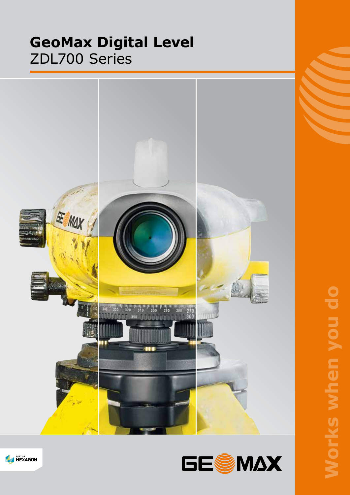# **GeoMax Digital Level** ZDL700 Series





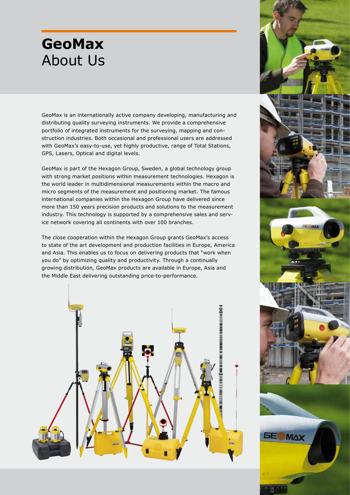# **GeoMax** About Us

GeoMax is an internationally active company developing, manufacturing and distributing quality surveying instruments. We provide a comprehensive portfolio of integrated instruments for the surveying, mapping and construction industries. Both occasional and professional users are addressed with GeoMax's easy-to-use, yet highly productive, range of Total Stations, GPS, Lasers, Optical and digital levels.

GeoMax is part of the Hexagon Group, Sweden, a global technology group with strong market positions within measurement technologies. Hexagon is the world leader in multidimensional measurements within the macro and micro segments of the measurement and positioning market. The famous international companies within the Hexagon Group have delivered since more than 150 years precision products and solutions to the measurement industry. This technology is supported by a comprehensive sales and service network covering all continents with over 100 branches.

The close cooperation within the Hexagon Group grants GeoMax's access to state of the art development and production facilities in Europe, America and Asia. This enables us to focus on delivering products that "work when you do" by optimizing quality and productivity. Through a continually growing distribution, GeoMax products are available in Europe, Asia and the Middle East delivering outstanding price-to-performance.



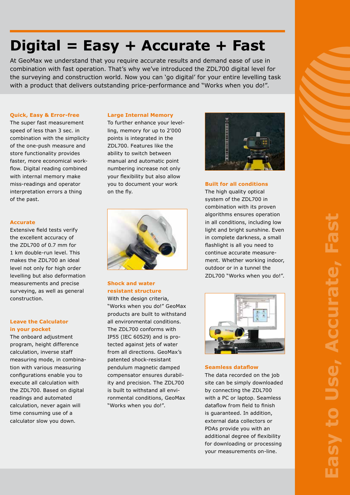# **Digital = Easy + Accurate + Fast**

At GeoMax we understand that you require accurate results and demand ease of use in combination with fast operation. That's why we've introduced the ZDL700 digital level for the surveying and construction world. Now you can 'go digital' for your entire levelling task with a product that delivers outstanding price-performance and "Works when you do!".

### **Quick, Easy & Error-free**

The super fast measurement speed of less than 3 sec. in combination with the simplicity of the one-push measure and store functionality provides faster, more economical workflow. Digital reading combined with internal memory make miss-readings and operator interpretation errors a thing of the past.

#### **Accurate**

Extensive field tests verify the excellent accuracy of the ZDL700 of 0.7 mm for 1 km double-run level. This makes the ZDL700 an ideal level not only for high order levelling but also deformation measurements and precise surveying, as well as general construction.

## **Leave the Calculator in your pocket**

The onboard adjustment program, height difference calculation, inverse staff measuring mode, in combination with various measuring configurations enable you to execute all calculation with the ZDL700. Based on digital readings and automated calculation, never again will time consuming use of a calculator slow you down.

#### **Large Internal Memory**

To further enhance your levelling, memory for up to 2'000 points is integrated in the ZDL700. Features like the ability to switch between manual and automatic point numbering increase not only your flexibility but also allow you to document your work on the fly.



## **Shock and water resistant structure**

With the design criteria, "Works when you do!" GeoMax products are built to withstand all environmental conditions. The ZDL700 conforms with IP55 (IEC 60529) and is protected against jets of water from all directions. GeoMax's patented shock-resistant pendulum magnetic damped compensator ensures durability and precision. The ZDL700 is built to withstand all environmental conditions, GeoMax "Works when you do!".



## **Built for all conditions**

The high quality optical system of the ZDL700 in combination with its proven algorithms ensures operation in all conditions, including low light and bright sunshine. Even in complete darkness, a small flashlight is all you need to continue accurate measurement. Whether working indoor, outdoor or in a tunnel the ZDL700 "Works when you do!".



#### **Seamless dataflow**

The data recorded on the job site can be simply downloaded by connecting the ZDL700 with a PC or laptop. Seamless dataflow from field to finish is guaranteed. In addition, external data collectors or PDAs provide you with an additional degree of flexibility for downloading or processing your measurements on-line.